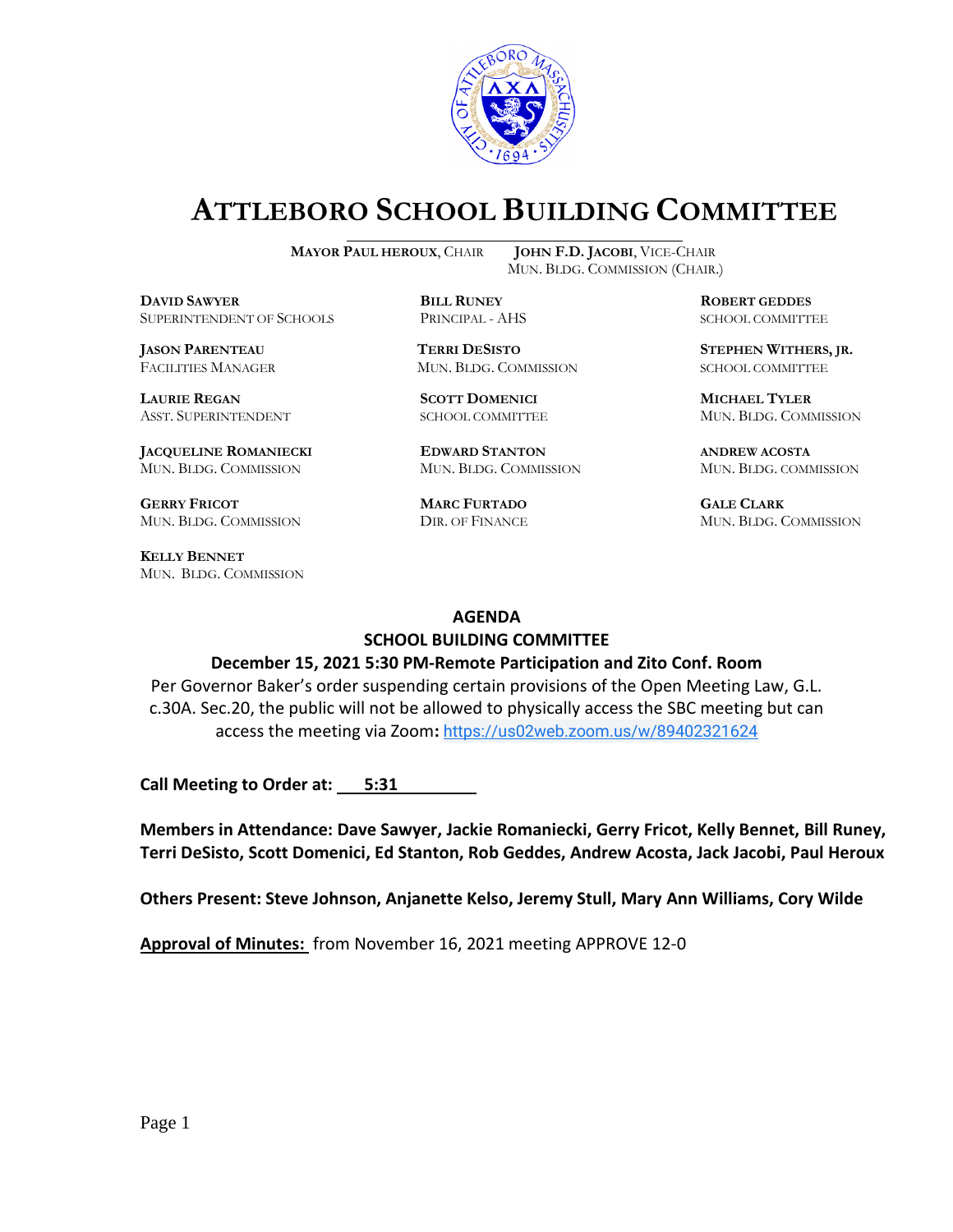

# **ATTLEBORO SCHOOL BUILDING COMMITTEE**

**DDAWYER BILL RUNEY ROBERT GEDDES** SUPERINTENDENT OF SCHOOLS PRINCIPAL - AHS SCHOOL COMMITTEE

FACILITIES MANAGER MUN. BLDG. COMMISSION SCHOOL COMMITTEE

**LAURIE REGAN SCOTT DOMENICI MICHAEL TYLER**

**JACQUELINE ROMANIECKI EDWARD STANTON ANDREW ACOSTA** MUN. BLDG. COMMISSION MUN. BLDG. COMMISSION MUN. BLDG. COMMISSION

**GERRY FRICOT MARC FURTADO GALE CLARK** MUN. BLDG. COMMISSION DIR. OF FINANCE MUN. BLDG. COMMISSION

**KELLY BENNET** MUN. BLDG. COMMISSION

**MAYOR PAUL HEROUX**, CHAIR **JOHN F.D. JACOBI**, VICE-CHAIR MUN. BLDG. COMMISSION (CHAIR.)

**JASON PARENTEAU TERRI DESISTO STEPHEN WITHERS, JR.**

ASST. SUPERINTENDENT SCHOOL COMMITTEE MUN. BLDG. COMMISSION

#### **AGENDA**

# **SCHOOL BUILDING COMMITTEE**

#### **December 15, 2021 5:30 PM-Remote Participation and Zito Conf. Room**

Per Governor Baker's order suspending certain provisions of the Open Meeting Law, G.L. c.30A. Sec.20, the public will not be allowed to physically access the SBC meeting but can access the meeting via Zoom**:** [https://us02web.zoom.us/w/89402321624](https://www.google.com/url?q=https://us02web.zoom.us/w/89402321624?tk%3Dx6MQd-pp4ReirPisMd_QAiWCZMImz4-4yLH8QNXc6ps.DQIAAAAU0Msq2BZEY2pjRkRjZVFkcVlybmxJMVp0UkRnAAAAAAAAAAAAAAAAAAAAAAAAAAAA&sa=D&source=calendar&usd=2&usg=AOvVaw38f7P7Hm-280g_8tvpUmpn)

**Call Meeting to Order at:** 5:31

**Members in Attendance: Dave Sawyer, Jackie Romaniecki, Gerry Fricot, Kelly Bennet, Bill Runey, Terri DeSisto, Scott Domenici, Ed Stanton, Rob Geddes, Andrew Acosta, Jack Jacobi, Paul Heroux**

**Others Present: Steve Johnson, Anjanette Kelso, Jeremy Stull, Mary Ann Williams, Cory Wilde**

**Approval of Minutes:** from November 16, 2021 meeting APPROVE 12-0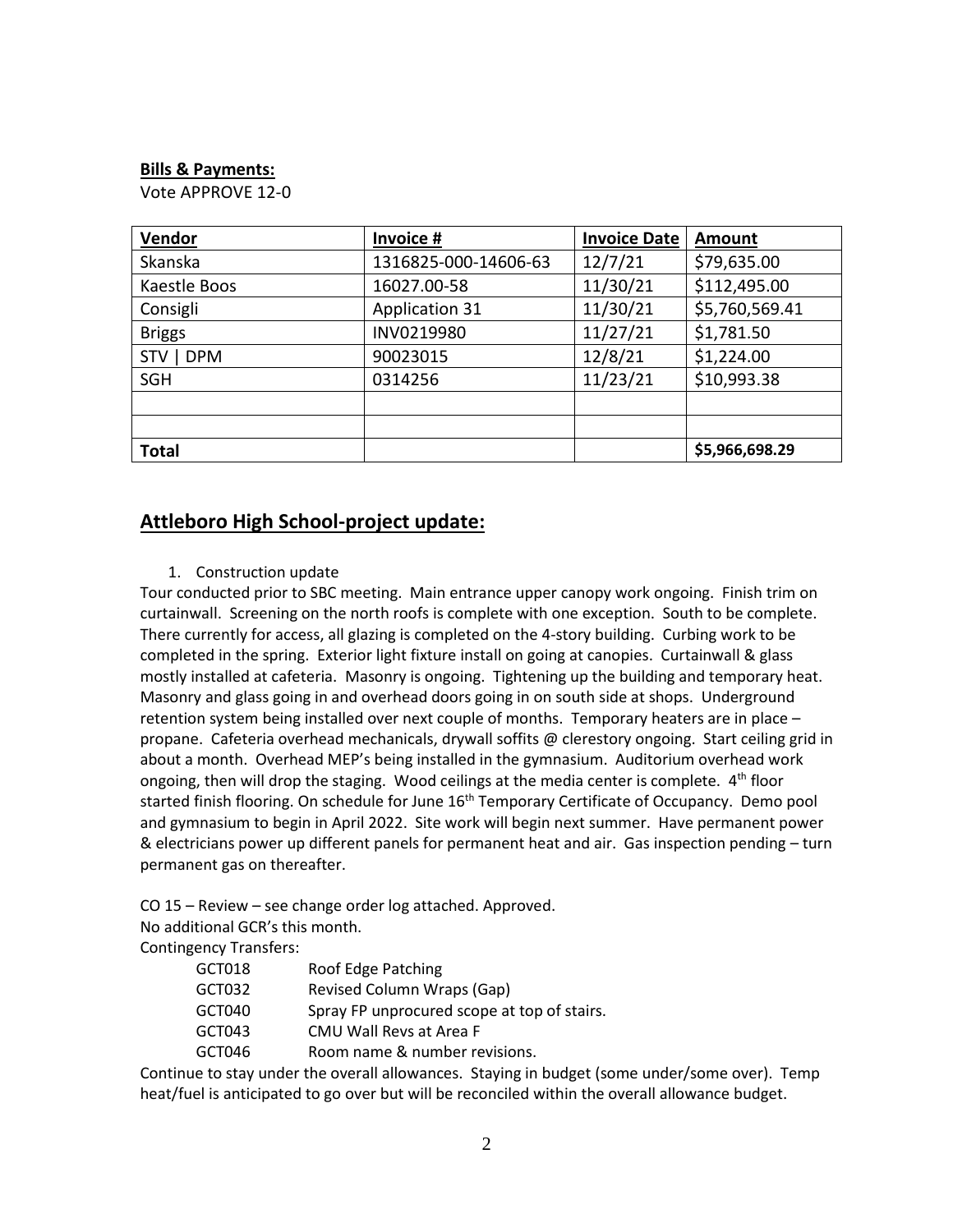### **Bills & Payments:**

Vote APPROVE 12-0

| Vendor        | Invoice #             | <b>Invoice Date</b> | <b>Amount</b>  |
|---------------|-----------------------|---------------------|----------------|
| Skanska       | 1316825-000-14606-63  | 12/7/21             | \$79,635.00    |
| Kaestle Boos  | 16027.00-58           | 11/30/21            | \$112,495.00   |
| Consigli      | <b>Application 31</b> | 11/30/21            | \$5,760,569.41 |
| <b>Briggs</b> | INV0219980            | 11/27/21            | \$1,781.50     |
| STV   DPM     | 90023015              | 12/8/21             | \$1,224.00     |
| <b>SGH</b>    | 0314256               | 11/23/21            | \$10,993.38    |
|               |                       |                     |                |
|               |                       |                     |                |
| <b>Total</b>  |                       |                     | \$5,966,698.29 |

## **Attleboro High School-project update:**

### 1. Construction update

Tour conducted prior to SBC meeting. Main entrance upper canopy work ongoing. Finish trim on curtainwall. Screening on the north roofs is complete with one exception. South to be complete. There currently for access, all glazing is completed on the 4-story building. Curbing work to be completed in the spring. Exterior light fixture install on going at canopies. Curtainwall & glass mostly installed at cafeteria. Masonry is ongoing. Tightening up the building and temporary heat. Masonry and glass going in and overhead doors going in on south side at shops. Underground retention system being installed over next couple of months. Temporary heaters are in place – propane. Cafeteria overhead mechanicals, drywall soffits @ clerestory ongoing. Start ceiling grid in about a month. Overhead MEP's being installed in the gymnasium. Auditorium overhead work ongoing, then will drop the staging. Wood ceilings at the media center is complete.  $4<sup>th</sup>$  floor started finish flooring. On schedule for June 16<sup>th</sup> Temporary Certificate of Occupancy. Demo pool and gymnasium to begin in April 2022. Site work will begin next summer. Have permanent power & electricians power up different panels for permanent heat and air. Gas inspection pending – turn permanent gas on thereafter.

CO 15 – Review – see change order log attached. Approved.

No additional GCR's this month.

Contingency Transfers:

| GCT018 | Roof Edge Patching                          |
|--------|---------------------------------------------|
| GCT032 | Revised Column Wraps (Gap)                  |
| GCT040 | Spray FP unprocured scope at top of stairs. |
| GCT043 | CMU Wall Revs at Area F                     |
| GCT046 | Room name & number revisions.               |

Continue to stay under the overall allowances. Staying in budget (some under/some over). Temp heat/fuel is anticipated to go over but will be reconciled within the overall allowance budget.